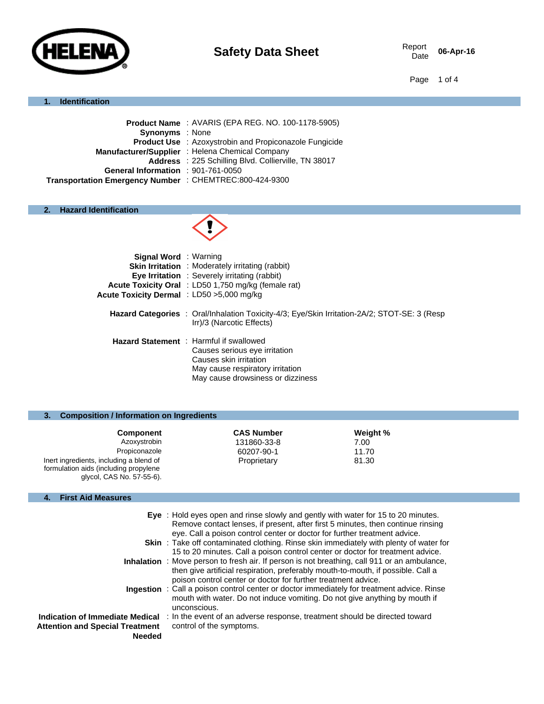

06-Apr-16

#### Page 1 of 4

#### **1. Identification**

| Product Name: AVARIS (EPA REG. NO. 100-1178-5905)             |
|---------------------------------------------------------------|
| <b>Synonyms</b> : None                                        |
| <b>Product Use</b> : Azoxystrobin and Propiconazole Fungicide |
| Manufacturer/Supplier : Helena Chemical Company               |
| Address : 225 Schilling Blvd. Collierville, TN 38017          |
| General Information : 901-761-0050                            |
| Transportation Emergency Number : CHEMTREC:800-424-9300       |
|                                                               |

## **2. Hazard Identification**



| <b>Signal Word</b> : Warning              |                                                                                                                                                                                    |
|-------------------------------------------|------------------------------------------------------------------------------------------------------------------------------------------------------------------------------------|
|                                           | <b>Skin Irritation</b> : Moderately irritating (rabbit)                                                                                                                            |
|                                           | Eye Irritation : Severely irritating (rabbit)                                                                                                                                      |
|                                           | Acute Toxicity Oral : LD50 1,750 mg/kg (female rat)                                                                                                                                |
| Acute Toxicity Dermal : LD50 >5,000 mg/kg |                                                                                                                                                                                    |
|                                           | Hazard Categories : Oral/Inhalation Toxicity-4/3; Eye/Skin Irritation-2A/2; STOT-SE: 3 (Resp)<br>Irr)/3 (Narcotic Effects)                                                         |
|                                           | <b>Hazard Statement</b> : Harmful if swallowed<br>Causes serious eye irritation<br>Causes skin irritation<br>May cause respiratory irritation<br>May cause drowsiness or dizziness |

#### **3. Composition / Information on Ingredients**

| <b>Component</b>                                                                                              | <b>CAS Number</b> | Weight % |
|---------------------------------------------------------------------------------------------------------------|-------------------|----------|
| Azoxystrobin                                                                                                  | 131860-33-8       | 7.00     |
| Propiconazole                                                                                                 | 60207-90-1        | 11.70    |
| Inert ingredients, including a blend of<br>formulation aids (including propylene<br>glycol, CAS No. 57-55-6). | Proprietary       | 81.30    |

#### **4. First Aid Measures**

|                                                                                            | Eye : Hold eyes open and rinse slowly and gently with water for 15 to 20 minutes.<br>Remove contact lenses, if present, after first 5 minutes, then continue rinsing<br>eye. Call a poison control center or doctor for further treatment advice.        |
|--------------------------------------------------------------------------------------------|----------------------------------------------------------------------------------------------------------------------------------------------------------------------------------------------------------------------------------------------------------|
|                                                                                            | <b>Skin</b> : Take off contaminated clothing. Rinse skin immediately with plenty of water for<br>15 to 20 minutes. Call a poison control center or doctor for treatment advice.                                                                          |
|                                                                                            | <b>Inhalation</b> : Move person to fresh air. If person is not breathing, call 911 or an ambulance,<br>then give artificial respiration, preferably mouth-to-mouth, if possible. Call a<br>poison control center or doctor for further treatment advice. |
|                                                                                            | <b>Ingestion</b> : Call a poison control center or doctor immediately for treatment advice. Rinse<br>mouth with water. Do not induce vomiting. Do not give anything by mouth if<br>unconscious.                                                          |
| Indication of Immediate Medical<br><b>Attention and Special Treatment</b><br><b>Needed</b> | : In the event of an adverse response, treatment should be directed toward<br>control of the symptoms.                                                                                                                                                   |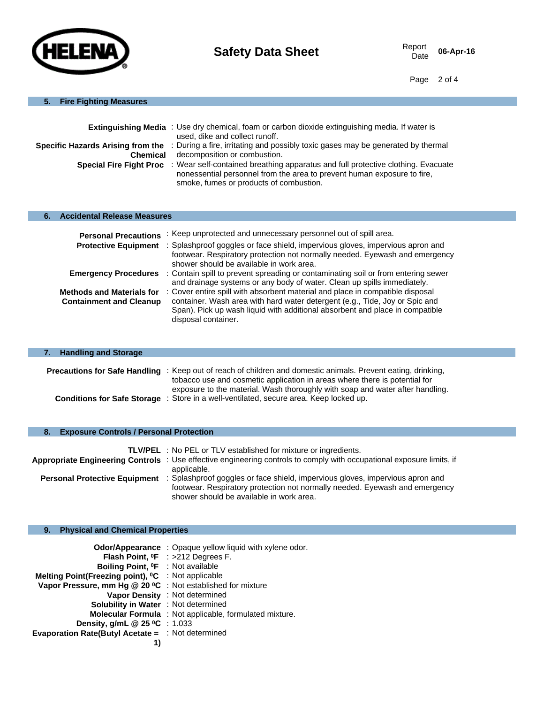

06-Apr-16

Page 2 of 4

#### **5. Fire Fighting Measures**

|                 | <b>Extinguishing Media</b> : Use dry chemical, foam or carbon dioxide extinguishing media. If water is<br>used, dike and collect runoff.                                                                                       |
|-----------------|--------------------------------------------------------------------------------------------------------------------------------------------------------------------------------------------------------------------------------|
|                 |                                                                                                                                                                                                                                |
|                 | Specific Hazards Arising from the : During a fire, irritating and possibly toxic gases may be generated by thermal                                                                                                             |
| <b>Chemical</b> | decomposition or combustion.                                                                                                                                                                                                   |
|                 | Special Fire Fight Proc : Wear self-contained breathing apparatus and full protective clothing. Evacuate<br>nonessential personnel from the area to prevent human exposure to fire,<br>smoke, fumes or products of combustion. |

#### **6. Accidental Release Measures**

| <b>Personal Precautions</b>                                        | : Keep unprotected and unnecessary personnel out of spill area.                                                                                                                                                                                                     |
|--------------------------------------------------------------------|---------------------------------------------------------------------------------------------------------------------------------------------------------------------------------------------------------------------------------------------------------------------|
| <b>Protective Equipment</b>                                        | : Splashproof goggles or face shield, impervious gloves, impervious apron and<br>footwear. Respiratory protection not normally needed. Eyewash and emergency<br>shower should be available in work area.                                                            |
| <b>Emergency Procedures</b>                                        | : Contain spill to prevent spreading or contaminating soil or from entering sewer<br>and drainage systems or any body of water. Clean up spills immediately.                                                                                                        |
| <b>Methods and Materials for</b><br><b>Containment and Cleanup</b> | : Cover entire spill with absorbent material and place in compatible disposal<br>container. Wash area with hard water detergent (e.g., Tide, Joy or Spic and<br>Span). Pick up wash liquid with additional absorbent and place in compatible<br>disposal container. |

| 7. Handling and Storage            |                                                                                                                                                                                                    |
|------------------------------------|----------------------------------------------------------------------------------------------------------------------------------------------------------------------------------------------------|
|                                    |                                                                                                                                                                                                    |
|                                    | <b>Precautions for Safe Handling</b> : Keep out of reach of children and domestic animals. Prevent eating, drinking,<br>tobacco use and cosmetic application in areas where there is potential for |
|                                    | exposure to the material. Wash thoroughly with soap and water after handling.                                                                                                                      |
| <b>Conditions for Safe Storage</b> | : Store in a well-ventilated, secure area. Keep locked up.                                                                                                                                         |

#### **8. Exposure Controls / Personal Protection**

|                                      | <b>TLV/PEL</b> : No PEL or TLV established for mixture or ingredients.                                                |
|--------------------------------------|-----------------------------------------------------------------------------------------------------------------------|
|                                      | Appropriate Engineering Controls : Use effective engineering controls to comply with occupational exposure limits, if |
|                                      | applicable.                                                                                                           |
| <b>Personal Protective Equipment</b> | : Splashproof goggles or face shield, impervious gloves, impervious apron and                                         |
|                                      | footwear. Respiratory protection not normally needed. Eyewash and emergency                                           |
|                                      | shower should be available in work area.                                                                              |

#### **9. Physical and Chemical Properties**

| Odor/Appearance : Opaque yellow liquid with xylene odor.       |
|----------------------------------------------------------------|
| Flash Point, <sup>o</sup> F : >212 Degrees F.                  |
| Boiling Point, <sup>o</sup> F : Not available                  |
| Melting Point(Freezing point), <sup>o</sup> C : Not applicable |
| Vapor Pressure, mm Hg @ 20 °C : Not established for mixture    |
| Vapor Density : Not determined                                 |
| Solubility in Water : Not determined                           |
| <b>Molecular Formula</b> : Not applicable, formulated mixture. |
| Density, g/mL $@$ 25 °C : 1.033                                |
| <b>Evaporation Rate(Butyl Acetate = : Not determined</b>       |
|                                                                |
|                                                                |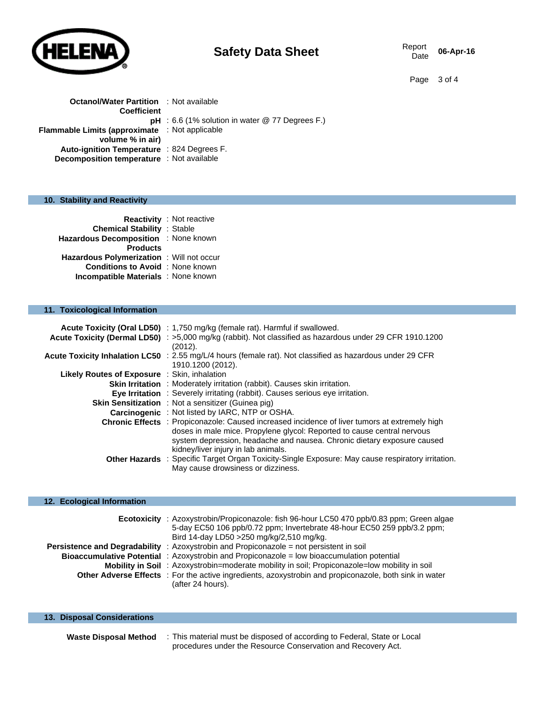

# **Safety Data Sheet** Report Report Data

06-Apr-16

Page 3 of 4

| <b>Octanol/Water Partition</b> : Not available        |                                                          |
|-------------------------------------------------------|----------------------------------------------------------|
| <b>Coefficient</b>                                    |                                                          |
|                                                       | <b>pH</b> : 6.6 (1% solution in water $@$ 77 Degrees F.) |
| <b>Flammable Limits (approximate</b> : Not applicable |                                                          |
| volume % in air)                                      |                                                          |
| Auto-ignition Temperature : 824 Degrees F.            |                                                          |
| <b>Decomposition temperature</b> : Not available      |                                                          |

## **10. Stability and Reactivity**

| <b>Chemical Stability : Stable</b><br>Hazardous Decomposition : None known<br><b>Products</b>                                      | <b>Reactivity</b> : Not reactive |
|------------------------------------------------------------------------------------------------------------------------------------|----------------------------------|
| <b>Hazardous Polymerization</b> : Will not occur<br><b>Conditions to Avoid</b> : None known<br>Incompatible Materials : None known |                                  |

# **11. Toxicological Information**

|                                              | Acute Toxicity (Oral LD50) : 1,750 mg/kg (female rat). Harmful if swallowed.<br>Acute Toxicity (Dermal LD50) : >5,000 mg/kg (rabbit). Not classified as hazardous under 29 CFR 1910.1200                                                                                                   |
|----------------------------------------------|--------------------------------------------------------------------------------------------------------------------------------------------------------------------------------------------------------------------------------------------------------------------------------------------|
|                                              | (2012).                                                                                                                                                                                                                                                                                    |
|                                              | <b>Acute Toxicity Inhalation LC50</b> : 2.55 mg/L/4 hours (female rat). Not classified as hazardous under 29 CFR<br>1910.1200 (2012).                                                                                                                                                      |
| Likely Routes of Exposure : Skin, inhalation |                                                                                                                                                                                                                                                                                            |
|                                              | <b>Skin Irritation</b> : Moderately irritation (rabbit). Causes skin irritation.                                                                                                                                                                                                           |
|                                              | <b>Eye Irritation</b> : Severely irritating (rabbit). Causes serious eye irritation.                                                                                                                                                                                                       |
|                                              | <b>Skin Sensitization</b> : Not a sensitizer (Guinea pig)                                                                                                                                                                                                                                  |
|                                              | Carcinogenic : Not listed by IARC, NTP or OSHA.                                                                                                                                                                                                                                            |
|                                              | Chronic Effects : Propiconazole: Caused increased incidence of liver tumors at extremely high<br>doses in male mice. Propylene glycol: Reported to cause central nervous<br>system depression, headache and nausea. Chronic dietary exposure caused<br>kidney/liver injury in lab animals. |
|                                              | Other Hazards : Specific Target Organ Toxicity-Single Exposure: May cause respiratory irritation.<br>May cause drowsiness or dizziness.                                                                                                                                                    |

#### **12. Ecological Information**

| <b>Ecotoxicity</b> | : Azoxystrobin/Propiconazole: fish 96-hour LC50 470 ppb/0.83 ppm; Green algae<br>5-day EC50 106 ppb/0.72 ppm; Invertebrate 48-hour EC50 259 ppb/3.2 ppm;<br>Bird 14-day LD50 > 250 mg/kg/2,510 mg/kg. |
|--------------------|-------------------------------------------------------------------------------------------------------------------------------------------------------------------------------------------------------|
|                    | <b>Persistence and Degradability</b> : Azoxystrobin and Propiconazole = not persistent in soil                                                                                                        |
|                    | <b>Bioaccumulative Potential</b> : Azoxystrobin and Propiconazole = low bioaccumulation potential                                                                                                     |
|                    | <b>Mobility in Soil</b> : Azoxystrobin=moderate mobility in soil: Propiconazole=low mobility in soil                                                                                                  |
|                    | Other Adverse Effects : For the active ingredients, azoxystrobin and propiconazole, both sink in water<br>(after 24 hours).                                                                           |

| 13. Disposal Considerations  |                                                                                                                                          |
|------------------------------|------------------------------------------------------------------------------------------------------------------------------------------|
| <b>Waste Disposal Method</b> | : This material must be disposed of according to Federal, State or Local<br>procedures under the Resource Conservation and Recovery Act. |